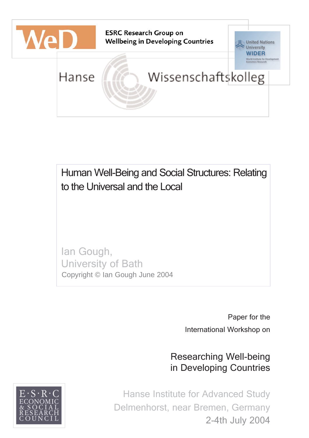

Human Well-Being and Social Structures: Relating to the Universal and the Local

Ian Gough, University of Bath Copyright © Ian Gough June 2004

> Paper for the International Workshop on

Researching Well-being in Developing Countries



Hanse Institute for Advanced Study Delmenhorst, near Bremen, Germany 2-4th July 2004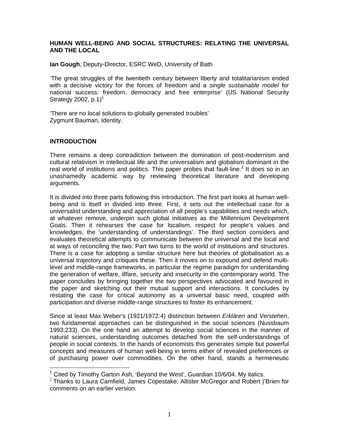## **HUMAN WELL-BEING AND SOCIAL STRUCTURES: RELATING THE UNIVERSAL AND THE LOCAL**

**Ian Gough**, Deputy-Director, ESRC WeD, University of Bath

'The great struggles of the twentieth century between liberty and totalitarianism ended with a decisive victory for the forces of freedom and a *single sustainable model* for national success: freedom, democracy and free enterprise' (US National Security Strategy 2002,  $p.1$  $p.1$ <sup>1</sup>

'There are no local solutions to globally generated troubles' Zygmunt Bauman, Identity.

## **INTRODUCTION**

 $\overline{a}$ 

There remains a deep contradiction between the domination of post-modernism and cultural relativism in intellectual life and the universalism and globalism dominant in the real world of institutions and politics. This paper probes that fault-line.<sup>[2](#page-1-1)</sup> It does so in an unashamedly academic way by reviewing theoretical literature and developing arguments.

It is divided into three parts following this introduction. The first part looks at human wellbeing and is itself in divided into three. First, it sets out the intellectual case for a universalist understanding and appreciation of all people's capabilities and needs which, at whatever remove, underpin such global initiatives as the Millennium Development Goals. Then it rehearses the case for localism, respect for people's values and knowledges, the 'understanding of understandings'. The third section considers and evaluates theoretical attempts to communicate between the universal and the local and at ways of reconciling the two. Part two turns to the world of institutions and structures. There is a case for adopting a similar structure here but theories of globalisation as a universal trajectory and critiques these. Then it moves on to expound and defend multilevel and middle-range frameworks, in particular the regime paradigm for understanding the generation of welfare, illfare, security and insecurity in the contemporary world. The paper concludes by bringing together the two perspectives advocated and favoured in the paper and sketching out their mutual support and interactions. It concludes by restating the case for critical autonomy as a universal basic need, coupled with participation and diverse middle-range structures to foster its enhancement.

Since at least Max Weber's (1921/1972:4) distinction between *Erklären* and *Verstehen*, two fundamental approaches can be distinguished in the social sciences (Nussbaum 1993:233). On the one hand an attempt to develop social sciences in the manner of natural sciences, understanding outcomes detached from the self-understandings of people in social contexts. In the hands of economists this generates simple but powerful concepts and measures of human well-being in terms either of revealed preferences or of purchasing power over commodities. On the other hand, stands a hermeneutic

<span id="page-1-0"></span><sup>&</sup>lt;sup>1</sup> Cited by Timothy Garton Ash, 'Beyond the West', Guardian 10/6/04. My italics.

<span id="page-1-1"></span> $<sup>2</sup>$  Thanks to Laura Camfield, James Copestake, Allister McGregor and Robert )'Brien for</sup> comments on an earlier version.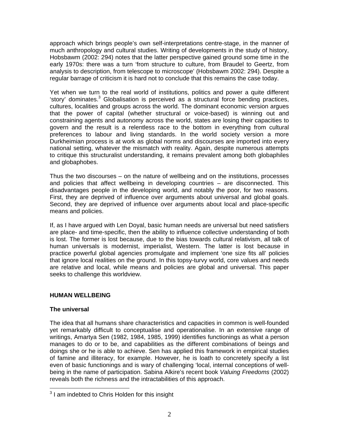approach which brings people's own self-interpretations centre-stage, in the manner of much anthropology and cultural studies. Writing of developments in the study of history, Hobsbawm (2002: 294) notes that the latter perspective gained ground some time in the early 1970s: there was a turn 'from structure to culture, from Braudel to Geertz, from analysis to description, from telescope to microscope' (Hobsbawm 2002: 294). Despite a regular barrage of criticism it is hard not to conclude that this remains the case today.

Yet when we turn to the real world of institutions, politics and power a quite different 'story' dominates.<sup>[3](#page-2-0)</sup> Globalisation is perceived as a structural force bending practices, cultures, localities and groups across the world. The dominant economic version argues that the power of capital (whether structural or voice-based) is winning out and constraining agents and autonomy across the world, states are losing their capacities to govern and the result is a relentless race to the bottom in everything from cultural preferences to labour and living standards. In the world society version a more Durkheimian process is at work as global norms and discourses are imported into every national setting, whatever the mismatch with reality. Again, despite numerous attempts to critique this structuralist understanding, it remains prevalent among both globaphiles and globaphobes.

Thus the two discourses – on the nature of wellbeing and on the institutions, processes and policies that affect wellbeing in developing countries – are disconnected. This disadvantages people in the developing world, and notably the poor, for two reasons. First, they are deprived of influence over arguments about universal and global goals. Second, they are deprived of influence over arguments about local and place-specific means and policies.

If, as I have argued with Len Doyal, basic human needs are universal but need satisfiers are place- and time-specific, then the ability to influence collective understanding of both is lost. The former is lost because, due to the bias towards cultural relativism, all talk of human universals is modernist, imperialist, Western. The latter is lost because in practice powerful global agencies promulgate and implement 'one size fits all' policies that ignore local realities on the ground. In this topsy-turvy world, core values and needs are relative and local, while means and policies are global and universal. This paper seeks to challenge this worldview.

## **HUMAN WELLBEING**

## **The universal**

The idea that all humans share characteristics and capacities in common is well-founded yet remarkably difficult to conceptualise and operationalise. In an extensive range of writings, Amartya Sen (1982, 1984, 1985, 1999) identifies functionings as what a person manages to do or to be, and capabilities as the different combinations of beings and doings she or he is able to achieve. Sen has applied this framework in empirical studies of famine and illiteracy, for example. However, he is loath to concretely specify a list even of basic functionings and is wary of challenging 'local, internal conceptions of wellbeing in the name of participation. Sabina Alkire's recent book *Valuing Freedoms* (2002) reveals both the richness and the intractabilities of this approach.

<span id="page-2-0"></span>**EXECUTE:**<br><sup>3</sup> I am indebted to Chris Holden for this insight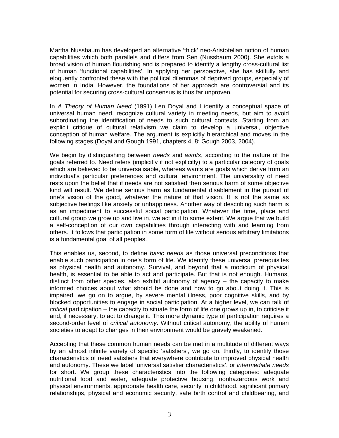Martha Nussbaum has developed an alternative 'thick' neo-Aristotelian notion of human capabilities which both parallels and differs from Sen (Nussbaum 2000). She extols a broad vision of human flourishing and is prepared to identify a lengthy cross-cultural list of human 'functional capabilities'. In applying her perspective, she has skilfully and eloquently confronted these with the political dilemmas of deprived groups, especially of women in India. However, the foundations of her approach are controversial and its potential for securing cross-cultural consensus is thus far unproven.

In *A Theory of Human Need* (1991) Len Doyal and I identify a conceptual space of universal human need, recognize cultural variety in meeting needs, but aim to avoid subordinating the identification of needs to such cultural contexts. Starting from an explicit critique of cultural relativism we claim to develop a universal, objective conception of human welfare. The argument is explicitly hierarchical and moves in the following stages (Doyal and Gough 1991, chapters 4, 8; Gough 2003, 2004).

We begin by distinguishing between *needs* and *wants*, according to the nature of the goals referred to. Need refers (implicitly if not explicitly) to a particular category of goals which are believed to be universalisable, whereas wants are goals which derive from an individual's particular preferences and cultural environment. The universality of need rests upon the belief that if needs are not satisfied then serious harm of some objective kind will result. We define serious harm as fundamental disablement in the pursuit of one's vision of the good, whatever the nature of that vision. It is not the same as subjective feelings like anxiety or unhappiness. Another way of describing such harm is as an impediment to successful social participation. Whatever the time, place and cultural group we grow up and live in, we act in it to some extent. We argue that we build a self-conception of our own capabilities through interacting with and learning from others. It follows that participation in some form of life without serious arbitrary limitations is a fundamental goal of all peoples.

This enables us, second, to define *basic needs* as those universal preconditions that enable such participation in one's form of life. We identify these universal prerequisites as physical health and autonomy. Survival, and beyond that a modicum of physical health, is essential to be able to act and participate. But that is not enough. Humans, distinct from other species, also exhibit autonomy of agency – the capacity to make informed choices about what should be done and how to go about doing it. This is impaired, we go on to argue, by severe mental illness, poor cognitive skills, and by blocked opportunities to engage in social participation. At a higher level, we can talk of *critical* participation – the capacity to situate the form of life one grows up in, to criticise it and, if necessary, to act to change it. This more dynamic type of participation requires a second-order level of *critical autonomy*. Without critical autonomy, the ability of human societies to adapt to changes in their environment would be gravely weakened.

Accepting that these common human needs can be met in a multitude of different ways by an almost infinite variety of specific 'satisfiers', we go on, thirdly, to identify those characteristics of need satisfiers that everywhere contribute to improved physical health and autonomy. These we label 'universal satisfier characteristics', or *intermediate needs* for short. We group these characteristics into the following categories: adequate nutritional food and water, adequate protective housing, nonhazardous work and physical environments, appropriate health care, security in childhood, significant primary relationships, physical and economic security, safe birth control and childbearing, and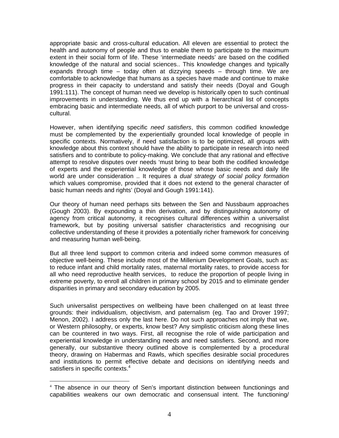<span id="page-4-0"></span>appropriate basic and cross-cultural education. All eleven are essential to protect the health and autonomy of people and thus to enable them to participate to the maximum extent in their social form of life. These 'intermediate needs' are based on the codified knowledge of the natural and social sciences.. This knowledge changes and typically expands through time – today often at dizzying speeds – through time. We are comfortable to acknowledge that humans as a species have made and continue to make progress in their capacity to understand and satisfy their needs (Doyal and Gough 1991:111). The concept of human need we develop is historically open to such continual improvements in understanding. We thus end up with a hierarchical list of concepts embracing basic and intermediate needs, all of which purport to be universal and crosscultural.

However, when identifying specific *need satisfiers*, this common codified knowledge must be complemented by the experientially grounded local knowledge of people in specific contexts. Normatively, if need satisfaction is to be optimized, all groups with knowledge about this context should have the ability to participate in research into need satisfiers and to contribute to policy-making. We conclude that any rational and effective attempt to resolve disputes over needs 'must bring to bear both the codified knowledge of experts and the experiential knowledge of those whose basic needs and daily life world are under consideration .. It requires a *dual strategy of social policy formation* which values compromise, provided that it does not extend to the general character of basic human needs and rights' (Doyal and Gough 1991:141).

Our theory of human need perhaps sits between the Sen and Nussbaum approaches (Gough 2003). By expounding a thin derivation, and by distinguishing autonomy of agency from critical autonomy, it recognises cultural differences within a universalist framework, but by positing universal satisfier characteristics and recognising our collective understanding of these it provides a potentially richer framework for conceiving and measuring human well-being.

But all three lend support to common criteria and indeed some common measures of objective well-being. These include most of the Millenium Development Goals, such as: to reduce infant and child mortality rates, maternal mortality rates, to provide access for all who need reproductive health services, to reduce the proportion of people living in extreme poverty, to enroll all children in primary school by 2015 and to eliminate gender disparities in primary and secondary education by 2005.

Such universalist perspectives on wellbeing have been challenged on at least three grounds: their individualism, objectivism, and paternalism (eg. Tao and Drover 1997; Menon, 2002). I address only the last here. Do not such approaches not imply that we, or Western philosophy, or experts, know best? Any simplistic criticism along these lines can be countered in two ways. First, all recognise the role of wide participation and experiential knowledge in understanding needs and need satisfiers. Second, and more generally, our substantive theory outlined above is complemented by a procedural theory, drawing on Habermas and Rawls, which specifies desirable social procedures and institutions to permit effective debate and decisions on identifying needs and satisfiers in specific contexts. $4$ 

 $\overline{a}$ <sup>4</sup> The absence in our theory of Sen's important distinction between functionings and capabilities weakens our own democratic and consensual intent. The functioning/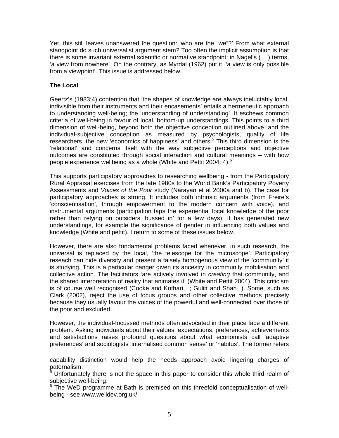Yet, this still leaves unanswered the question: 'who are the "we"?' From what external standpoint do such universalist argument stem? Too often the implicit assumption is that there is some invariant external scientific or normative standpoint: in Nagel's ( ) terms, 'a view from nowhere'. On the contrary, as Myrdal (1962) put it, 'a view is only possible from a viewpoint'. This issue is addressed below.

## **The Local**

 $\overline{a}$ 

Geertz's (1983:4) contention that 'the shapes of knowledge are always ineluctably local, indivisible from their instruments and their encasements' entails a hermeneutic approach to understanding well-being; the 'understanding of understanding'. It eschews common criteria of well-being in favour of local, bottom-up understandings. This points to a third dimension of well-being, beyond both the objective conception outlined above, and the individual-subjective conception as measured by psychologists, quality of life researchers, the new 'economics of happiness' and others.<sup>[5](#page-5-0)</sup> This third dimension is the 'relational' and concerns itself with the way subjective perceptions and objective outcomes are constituted through social interaction and cultural meanings – with how people experience wellbeing as a whole (White and Pettit 2004: 4).<sup>[6](#page-5-1)</sup>

This supports participatory approaches to researching wellbeing - from the Participatory Rural Appraisal exercises from the late 1980s to the World Bank's Participatory Poverty Assessments and *Voices of the Poor* study (Narayan et al 2000a and b). The case for participatory approaches is strong. It includes both intrinsic arguments (from Freire's 'conscientisation', through empowerment to the modern concern with voice), and instrumental arguments (participation taps the experiential local knowledge of the poor rather than relying on outsiders 'bussed in' for a few days). It has generated new understandings, for example the significance of gender in influencing both values and knowledge (White and pettit). I return to some of these issues below.

However, there are also fundamental problems faced whenever, in such research, the universal is replaced by the local, 'the telescope for the microscope'. Participatory reseach can hide diversity and present a falsely homogenous view of the 'community' it is studying. This is a particular danger given its ancestry in community mobilisation and collective action. The facilitators 'are actively involved in *creating* that community, and the shared interpretation of reality that animates it' (White and Pettit 2004). This criticism is of course well recognised (Cooke and Kothari, ; Gulitt and Shah ). Some, such as Clark (2002), reject the use of focus groups and other collective methods precisely because they usually favour the voices of the powerful and well-connected over those of the poor and excluded.

However, the individual-focussed methods often advocated in their place face a different problem. Asking individuals about their values, expectations, preferences, achievements and satisfactions raises profound questions about what economists call 'adaptive preferences' and sociologists 'internalised common sense' or 'habitus'. The former refers

capability distinction would help the needs approach avoid lingering charges of paternalism.

<span id="page-5-0"></span><sup>&</sup>lt;sup>5</sup> Unfortunately there is not the space in this paper to consider this whole third realm of subjective well-being.

<span id="page-5-1"></span> $6$  The WeD programme at Bath is premised on this threefold conceptualisation of wellbeing - see www.welldev.org.uk/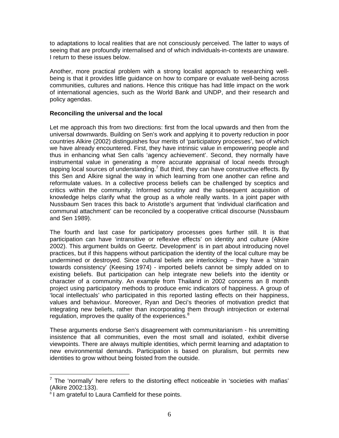to adaptations to local realities that are not consciously perceived. The latter to ways of seeing that are profoundly internalised and of which individuals-in-contexts are unaware. I return to these issues below.

Another, more practical problem with a strong localist approach to researching wellbeing is that it provides little guidance on how to compare or evaluate well-being across communities, cultures and nations. Hence this critique has had little impact on the work of international agencies, such as the World Bank and UNDP, and their research and policy agendas.

## **Reconciling the universal and the local**

Let me approach this from two directions: first from the local upwards and then from the universal downwards. Building on Sen's work and applying it to poverty reduction in poor countries Alkire (2002) distinguishes four merits of 'participatory processes', two of which we have already encountered. First, they have intrinsic value in empowering people and thus in enhancing what Sen calls 'agency achievement'. Second, they normally have instrumental value in generating a more accurate appraisal of local needs through tapping local sources of understanding.<sup>[7](#page-6-0)</sup> But third, they can have constructive effects. By this Sen and Alkire signal the way in which learning from one another can refine and reformulate values. In a collective process beliefs can be challenged by sceptics and critics within the community. Informed scrutiny and the subsequent acquisition of knowledge helps clarify what the group as a whole really wants. In a joint paper with Nussbaum Sen traces this back to Aristotle's argument that 'individual clarification and communal attachment' can be reconciled by a cooperative critical discourse (Nussbaum and Sen 1989).

The fourth and last case for participatory processes goes further still. It is that participation can have 'intransitive or reflexive effects' on identity and culture (Alkire 2002). This argument builds on Geertz. Development' is in part about introducing novel practices, but if this happens without participation the identity of the local culture may be undermined or destroyed. Since cultural beliefs are interlocking – they have a 'strain towards consistency' (Keesing 1974) - imported beliefs cannot be simply added on to existing beliefs. But participation can help integrate new beliefs into the identity or character of a community. An example from Thailand in 2002 concerns an 8 month project using participatory methods to produce emic indicators of happiness. A group of 'local intellectuals' who participated in this reported lasting effects on their happiness, values and behaviour. Moreover, Ryan and Deci's theories of motivation predict that integrating new beliefs, rather than incorporating them through introjection or external regulation, improves the quality of the experiences.<sup>[8](#page-6-1)</sup>

These arguments endorse Sen's disagreement with communitarianism - his unremitting insistence that all communities, even the most small and isolated, exhibit diverse viewpoints. There are always multiple identities, which permit learning and adaptation to new environmental demands. Participation is based on pluralism, but permits new identities to grow without being foisted from the outside.

<span id="page-6-0"></span> $7$  The 'normally' here refers to the distorting effect noticeable in 'societies with mafias' (Alkire 2002:133).

<span id="page-6-1"></span><sup>&</sup>lt;sup>8</sup> I am grateful to Laura Camfield for these points.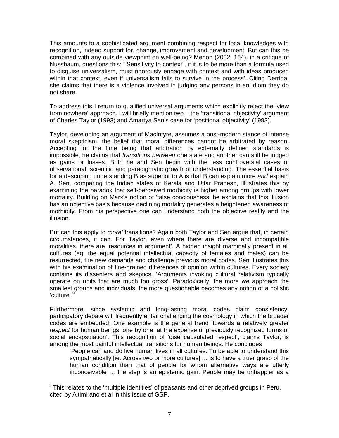This amounts to a sophisticated argument combining respect for local knowledges with recognition, indeed support for, change, improvement and development. But can this be combined with any outside viewpoint on well-being? Menon (2002: 164), in a critique of Nussbaum, questions this: '"Sensitivity to context", if it is to be more than a formula used to disguise universalism, must rigorously engage with context and with ideas produced within that context, even if universalism fails to survive in the process'. Citing Derrida, she claims that there is a violence involved in judging any persons in an idiom they do not share.

To address this I return to qualified universal arguments which explicitly reject the 'view from nowhere' approach. I will briefly mention two – the 'transitional objectivity' argument of Charles Taylor (1993) and Amartya Sen's case for 'positional objectivity' (1993).

Taylor, developing an argument of MacIntyre, assumes a post-modern stance of intense moral skepticism, the belief that moral differences cannot be arbitrated by reason. Accepting for the time being that arbitration by externally defined standards is impossible, he claims that *transitions between* one state and another can still be judged as gains or losses. Both he and Sen begin with the less controversial cases of observational, scientific and paradigmatic growth of understanding. The essential basis for a describing understanding B as superior to A is that B can explain more *and* explain A. Sen, comparing the Indian states of Kerala and Uttar Pradesh, illustrates this by examining the paradox that self-perceived morbidity is higher among groups with lower mortality. Building on Marx's notion of 'false conciousness' he explains that this illusion has an objective basis because declining mortality generates a heightened awareness of morbidity. From his perspective one can understand both the objective reality and the illusion.

But can this apply to *moral* transitions? Again both Taylor and Sen argue that, in certain circumstances, it can. For Taylor, even where there are diverse and incompatible moralities, there are 'resources in argument'. A hidden insight marginally present in all cultures (eg. the equal potential intellectual capacity of females and males) can be resurrected, fire new demands and challenge previous moral codes. Sen illustrates this with his examination of fine-grained differences of opinion within cultures. Every society contains its dissenters and skeptics. 'Arguments invoking cultural relativism typically operate on units that are much too gross'. Paradoxically, the more we approach the smallest groups and individuals, the more questionable becomes any notion of a holistic 'culture'[.9](#page-7-0)

Furthermore, since systemic and long-lasting moral codes claim consistency, participatory debate will frequently entail challenging the cosmology in which the broader codes are embedded. One example is the general trend 'towards a relatively greater *respect* for human beings, one by one, at the expense of previously recognized forms of social encapsulation'. This recognition of 'disencapsulated respect', claims Taylor, is among the most painful intellectual transitions for human beings. He concludes

'People can and do live human lives in all cultures. To be able to understand this sympathetically [ie. Across two or more cultures] … is to have a truer grasp of the human condition than that of people for whom alternative ways are utterly inconceivable … the step is an epistemic gain. People may be unhappier as a

<span id="page-7-0"></span><sup>&</sup>lt;sup>9</sup> This relates to the 'multiple identities' of peasants and other deprived groups in Peru, cited by Altimirano et al in this issue of GSP.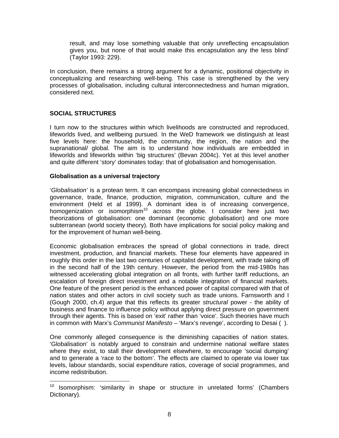result, and may lose something valuable that only unreflecting encapsulation gives you, but none of that would make this encapsulation any the less blind' (Taylor 1993: 229).

In conclusion, there remains a strong argument for a dynamic, positional objectivity in conceptualizing and researching well-being. This case is strengthened by the very processes of globalisation, including cultural interconnectedness and human migration, considered next.

## **SOCIAL STRUCTURES**

I turn now to the structures within which livelihoods are constructed and reproduced, lifeworlds lived, and wellbeing pursued. In the WeD framework we distinguish at least five levels here: the household, the community, the region, the nation and the supranational/ global. The aim is to understand how individuals are embedded in lifeworlds and lifeworlds within 'big structures' (Bevan 2004c). Yet at this level another and quite different 'story' dominates today: that of globalisation and homogenisation.

#### **Globalisation as a universal trajectory**

'*Globalisation'* is a protean term. It can encompass increasing global connectedness in governance, trade, finance, production, migration, communication, culture and the environment (Held et al 1999). A dominant idea is of increasing convergence, homogenization or isomorphism<sup>10</sup> across the globe. I consider here just two theorizations of globalisation: one dominant (economic globalisation) and one more subterranean (world society theory). Both have implications for social policy making and for the improvement of human well-being.

Economic globalisation embraces the spread of global connections in trade, direct investment, production, and financial markets. These four elements have appeared in roughly this order in the last two centuries of capitalist development, with trade taking off in the second half of the 19th century. However, the period from the mid-1980s has witnessed accelerating global integration on all fronts, with further tariff reductions, an escalation of foreign direct investment and a notable integration of financial markets. One feature of the present period is the enhanced power of capital compared with that of nation states and other actors in civil society such as trade unions. Farnsworth and I (Gough 2000, ch.4) argue that this reflects its greater *structural* power - the ability of business and finance to influence policy without applying direct pressure on government through their agents. This is based on 'exit' rather than 'voice'. Such theories have much in common with Marx's *Communist Manifesto* – 'Marx's revenge', according to Desai ( ).

One commonly alleged consequence is the diminishing capacities of nation states. 'Globalisation' is notably argued to constrain and undermine national welfare states where they exist, to stall their development elsewhere, to encourage 'social dumping' and to generate a 'race to the bottom'. The effects are claimed to operate via lower tax levels, labour standards, social expenditure ratios, coverage of social programmes, and income redistribution.

<span id="page-8-0"></span> $10<sub>1</sub>$ 10 Isomorphism: 'similarity in shape or structure in unrelated forms' (Chambers Dictionary).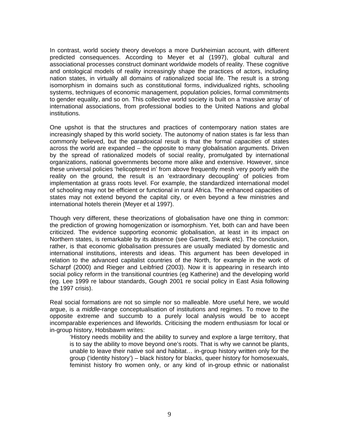In contrast, world society theory develops a more Durkheimian account, with different predicted consequences. According to Meyer et al (1997), global cultural and associational processes construct dominant worldwide models of reality. These cognitive and ontological models of reality increasingly shape the practices of actors, including nation states, in virtually all domains of rationalized social life. The result is a strong isomorphism in domains such as constitutional forms, individualized rights, schooling systems, techniques of economic management, population policies, formal commitments to gender equality, and so on. This collective world society is built on a 'massive array' of international associations, from professional bodies to the United Nations and global institutions.

One upshot is that the structures and practices of contemporary nation states are increasingly shaped by this world society. The autonomy of nation states is far less than commonly believed, but the paradoxical result is that the formal *capacities* of states across the world are expanded – the opposite to many globalisation arguments. Driven by the spread of rationalized models of social reality, promulgated by international organizations, national governments become more alike and extensive. However, since these universal policies 'helicoptered in' from above frequently mesh very poorly with the reality on the ground, the result is an 'extraordinary decoupling' of policies from implementation at grass roots level. For example, the standardized international model of schooling may not be efficient or functional in rural Africa. The enhanced capacities of states may not extend beyond the capital city, or even beyond a few ministries and international hotels therein (Meyer et al 1997).

Though very different, these theorizations of globalisation have one thing in common: the prediction of growing homogenization or isomorphism. Yet, both can and have been criticized. The evidence supporting economic globalisation, at least in its impact on Northern states, is remarkable by its absence (see Garrett, Swank etc). The conclusion, rather, is that economic globalisation pressures are usually mediated by domestic and international institutions, interests and ideas. This argument has been developed in relation to the advanced capitalist countries of the North, for example in the work of Scharpf (2000) and Rieger and Leibfried (2003). Now it is appearing in research into social policy reform in the transitional countries (eg Katherine) and the developing world (eg. Lee 1999 re labour standards, Gough 2001 re social policy in East Asia following the 1997 crisis).

Real social formations are not so simple nor so malleable. More useful here, we would argue, is a *middle*-range conceptualisation of institutions and regimes. To move to the opposite extreme and succumb to a purely local analysis would be to accept incomparable experiences and lifeworlds. Criticising the modern enthusiasm for local or in-group history, Hobsbawm writes:

'History needs mobility and the ability to survey and explore a large territory, that is to say the ability to move beyond one's roots. That is why we cannot be plants, unable to leave their native soil and habitat… in-group history written only for the group ('identity history') – black history for blacks, queer history for homosexuals, feminist history fro women only, or any kind of in-group ethnic or nationalist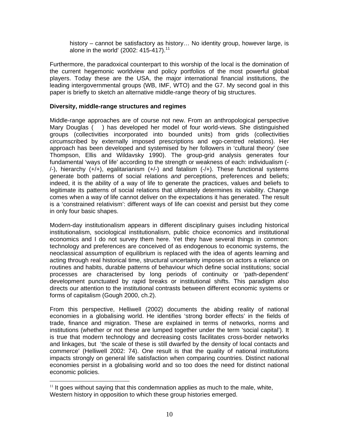history – cannot be satisfactory as history… No identity group, however large, is alone in the world' (2002: 415-417).<sup>11</sup>

Furthermore, the paradoxical counterpart to this worship of the local is the domination of the current hegemonic worldview and policy portfolios of the most powerful global players. Today these are the USA, the major international financial institutions, the leading intergovernmental groups (WB, IMF, WTO) and the G7. My second goal in this paper is briefly to sketch an alternative middle-range theory of big structures.

## **Diversity, middle-range structures and regimes**

Middle-range approaches are of course not new. From an anthropological perspective Mary Douglas ( ) has developed her model of four world-views. She distinguished groups (collectivities incorporated into bounded units) from grids (collectivities circumscribed by externally imposed prescriptions and ego-centred relations). Her approach has been developed and systemised by her followers in 'cultural theory' (see Thompson, Ellis and Wildavsky 1990). The group-grid analysis generates four fundamental 'ways of life' according to the strength or weakness of each: individualism (-  $\angle$ ), hierarchy  $(+/+)$ , egalitarianism  $(+/+)$  and fatalism  $(-/+)$ . These functional systems generate both patterns of social relations *and* perceptions, preferences and beliefs; indeed, it is the ability of a way of life to generate the practices, values and beliefs to legitimate its patterns of social relations that ultimately determines its viability. Change comes when a way of life cannot deliver on the expectations it has generated. The result is a 'constrained relativism': different ways of life can coexist and persist but they come in only four basic shapes.

Modern-day institutionalism appears in different disciplinary guises including historical institutionalism, sociological institutionalism, public choice economics and institutional economics and I do not survey them here. Yet they have several things in common: technology and preferences are conceived of as endogenous to economic systems, the neoclassical assumption of equilibrium is replaced with the idea of agents learning and acting through real historical time, structural uncertainty imposes on actors a reliance on routines and habits, durable patterns of behaviour which define social institutions; social processes are characterised by long periods of continuity or 'path-dependent' development punctuated by rapid breaks or institutional shifts. This paradigm also directs our attention to the institutional contrasts between different economic systems or forms of capitalism (Gough 2000, ch.2).

From this perspective, Helliwell (2002) documents the abiding reality of national economies in a globalising world. He identifies 'strong border effects' in the fields of trade, finance and migration. These are explained in terms of networks, norms and institutions (whether or not these are lumped together under the term 'social capital'). It is true that modern technology and decreasing costs facilitates cross-border networks and linkages, but 'the scale of these is still dwarfed by the density of local contacts and commerce' (Helliwell 2002: 74). One result is that the quality of national institutions impacts strongly on general life satisfaction when comparing countries. Distinct national economies persist in a globalising world and so too does the need for distinct national economic policies.

<span id="page-10-0"></span> $11$  It goes without saying that this condemnation applies as much to the male, white, Western history in opposition to which these group histories emerged.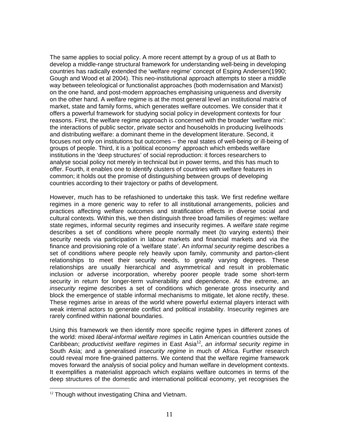The same applies to social policy. A more recent attempt by a group of us at Bath to develop a middle-range structural framework for understanding well-being in developing countries has radically extended the 'welfare regime' concept of Esping Andersen(1990; Gough and Wood et al 2004). This neo-institutional approach attempts to steer a middle way between teleological or functionalist approaches (both modernisation and Marxist) on the one hand, and post-modern approaches emphasising uniqueness and diversity on the other hand. A *welfare* regime is at the most general level an institutional matrix of market, state and family forms, which generates welfare outcomes. We consider that it offers a powerful framework for studying social policy in development contexts for four reasons. First, the welfare regime approach is concerned with the broader 'welfare mix': the interactions of public sector, private sector and households in producing livelihoods and distributing welfare: a dominant theme in the development literature. Second, it focuses not only on institutions but outcomes – the real states of well-being or ill-being of groups of people. Third, it is a 'political economy' approach which embeds welfare institutions in the 'deep structures' of social reproduction: it forces researchers to analyse social policy not merely in technical but in power terms, and this has much to offer. Fourth, it enables one to identify clusters of countries with welfare features in common; it holds out the promise of distinguishing between groups of developing countries according to their trajectory or paths of development.

However, much has to be refashioned to undertake this task. We first redefine welfare regimes in a more generic way to refer to all institutional arrangements, policies and practices affecting welfare outcomes and stratification effects in diverse social and cultural contexts. Within this, we then distinguish three broad families of regimes: welfare state regimes, informal security regimes and insecurity regimes. A *welfare state* regime describes a set of conditions where people normally meet (to varying extents) their security needs via participation in labour markets and financial markets and via the finance and provisioning role of a 'welfare state'. An *informal security* regime describes a set of conditions where people rely heavily upon family, community and parton-client relationships to meet their security needs, to greatly varying degrees. These relationships are usually hierarchical and asymmetrical and result in problematic inclusion or adverse incorporation, whereby poorer people trade some short-term security in return for longer-term vulnerability and dependence. At the extreme, an *insecurity* regime describes a set of conditions which generate gross insecurity and block the emergence of stable informal mechanisms to mitigate, let alone rectify, these. These regimes arise in areas of the world where powerful external players interact with weak internal actors to generate conflict and political instability. Insecurity regimes are rarely confined within national boundaries.

Using this framework we then identify more specific regime types in different zones of the world: mixed *liberal-informal welfare regimes* in Latin American countries outside the Caribbean; *productivist welfare regimes* in East Asia<sup>12</sup>, an informal security regime in South Asia; and a generalised *insecurity regime* in much of Africa. Further research could reveal more fine-grained patterns. We contend that the welfare regime framework moves forward the analysis of social policy and human welfare in development contexts. It exemplifies a materialist approach which explains welfare outcomes in terms of the deep structures of the domestic and international political economy, yet recognises the

<span id="page-11-0"></span> $12$  Though without investigating China and Vietnam.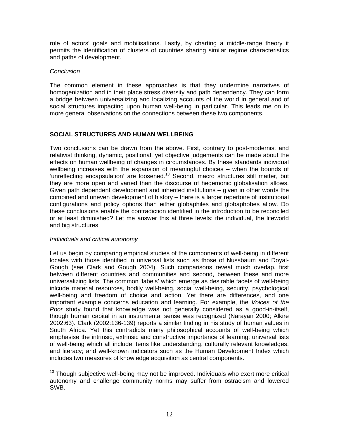role of actors' goals and mobilisations. Lastly, by charting a middle-range theory it permits the identification of clusters of countries sharing similar regime characteristics and paths of development.

## *Conclusion*

The common element in these approaches is that they undermine narratives of homogenization and in their place stress diversity and path dependency. They can form a bridge between universalizing and localizing accounts of the world in general and of social structures impacting upon human well-being in particular. This leads me on to more general observations on the connections between these two components.

# **SOCIAL STRUCTURES AND HUMAN WELLBEING**

Two conclusions can be drawn from the above. First, contrary to post-modernist and relativist thinking, dynamic, positional, yet objective judgements can be made about the effects on human wellbeing of changes in circumstances. By these standards individual wellbeing increases with the expansion of meaningful choices – when the bounds of 'unreflecting encapsulation' are loosened.<sup>13</sup> Second, macro structures still matter, but they are more open and varied than the discourse of hegemonic globalisation allows. Given path dependent development and inherited institutions – given in other words the combined and uneven development of history – there is a larger repertoire of institutional configurations and policy options than either globaphiles and globaphobes allow. Do these conclusions enable the contradiction identified in the introduction to be reconciled or at least diminished? Let me answer this at three levels: the individual, the lifeworld and big structures.

## *Individuals and critical autonomy*

 $\overline{a}$ 

Let us begin by comparing empirical studies of the components of well-being in different locales with those identified in universal lists such as those of Nussbaum and Doyal-Gough (see Clark and Gough 2004). Such comparisons reveal much overlap, first between different countries and communities and second, between these and more universalizing lists. The common 'labels' which emerge as desirable facets of well-being inlcude material resources, bodily well-being, social well-being, security, psychological well-being and freedom of choice and action. Yet there are differences, and one important example concerns education and learning. For example, the *Voices of the Poor* study found that knowledge was not generally considered as a good-in-itself, though human capital in an instrumental sense was recognized (Narayan 2000; Alkire 2002:63). Clark (2002:136-139) reports a similar finding in his study of human values in South Africa. Yet this contradicts many philosophical accounts of well-being which emphasise the intrinsic, extrinsic and constructive importance of learning; universal lists of well-being which all include items like understanding, culturally relevant knowledges, and literacy; and well-known indicators such as the Human Development Index which includes two measures of knowledge acquisition as central components.

<span id="page-12-0"></span> $13$  Though subjective well-being may not be improved. Individuals who exert more critical autonomy and challenge community norms may suffer from ostracism and lowered SWB.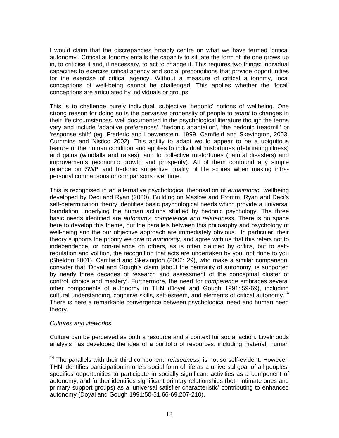I would claim that the discrepancies broadly centre on what we have termed 'critical autonomy'. Critical autonomy entails the capacity to situate the form of life one grows up in, to criticise it and, if necessary, to act to change it. This requires two things: individual capacities to exercise critical agency and social preconditions that provide opportunities for the exercise of critical agency. Without a measure of critical autonomy, local conceptions of well-being cannot be challenged. This applies whether the 'local' conceptions are articulated by individuals or groups.

This is to challenge purely individual, subjective 'hedonic' notions of wellbeing. One strong reason for doing so is the pervasive propensity of people to *adapt* to changes in their life circumstances, well documented in the psychological literature though the terms vary and include 'adaptive preferences', 'hedonic adaptation', 'the hedonic treadmill' or 'response shift' (eg. Frederic and Loewenstein, 1999, Camfield and Skevington, 2003, Cummins and Nistico 2002). This ability to adapt would appear to be a ubiquitous feature of the human condition and applies to individual misfortunes (debilitating illness) and gains (windfalls and raises), and to collective misfortunes (natural disasters) and improvements (economic growth and prosperity). All of them confound any simple reliance on SWB and hedonic subjective quality of life scores when making intrapersonal comparisons or comparisons over time.

This is recognised in an alternative psychological theorisation of *eudaimonic* wellbeing developed by Deci and Ryan (2000). Building on Maslow and Fromm, Ryan and Deci's self-determination theory identifies basic psychological needs which provide a universal foundation underlying the human actions studied by hedonic psychology. The three basic needs identified are *autonomy, competence and relatedness*. There is no space here to develop this theme, but the parallels between this philosophy and psychology of well-being and the our objective approach are immediately obvious. In particular, their theory supports the priority we give to *autonomy*, and agree with us that this refers not to independence, or non-reliance on others, as is often claimed by critics, but to selfregulation and volition, the recognition that acts are undertaken by you, not done to you (Sheldon 2001). Camfield and Skevington (2002: 29), who make a similar comparison, consider that 'Doyal and Gough's claim [about the centrality of autonomy] is supported by nearly three decades of research and assessment of the conceptual cluster of control, choice and mastery'. Furthermore, the need for *competence* embraces several other components of autonomy in THN (Doyal and Gough 1991:.59-69), including cultural understanding, cognitive skills, self-esteem, and elements of critical autonomy.<sup>1</sup> There is here a remarkable convergence between psychological need and human need theory.

## *Cultures and lifeworlds*

Culture can be perceived as both a resource and a context for social action. Livelihoods analysis has developed the idea of a portfolio of resources, including material, human

<span id="page-13-0"></span> $\overline{a}$ 14 The parallels with their third component, *relatedness,* is not so self-evident. However, THN identifies participation in one's social form of life as a universal goal of all peoples, specifies opportunities to participate in socially significant activities as a component of autonomy, and further identifies significant primary relationships (both intimate ones and primary support groups) as a 'universal satisfier characteristic' contributing to enhanced autonomy (Doyal and Gough 1991:50-51,66-69,207-210).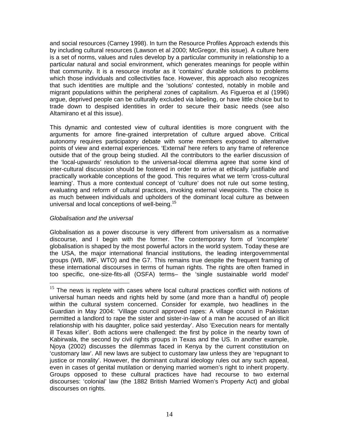and social resources (Carney 1998). In turn the Resource Profiles Approach extends this by including cultural resources (Lawson et al 2000; McGregor, this issue). A culture here is a set of norms, values and rules develop by a particular community in relationship to a particular natural and social environment, which generates meanings for people within that community. It is a resource insofar as it 'contains' durable solutions to problems which those individuals and collectivities face. However, this approach also recognizes that such identities are multiple and the 'solutions' contested, notably in mobile and migrant populations within the peripheral zones of capitalism. As Figueroa et al (1996) argue, deprived people can be culturally excluded via labeling, or have little choice but to trade down to despised identities in order to secure their basic needs (see also Altamirano et al this issue).

This dynamic and contested view of cultural identities is more congruent with the arguments for amore fine-grained interpretation of culture argued above. Critical autonomy requires participatory debate with some members exposed to alternative points of view and external experiences. 'External' here refers to any frame of reference outside that of the group being studied. All the contributors to the earlier discussion of the 'local-upwards' resolution to the universal-local dilemma agree that some kind of inter-cultural discussion should be fostered in order to arrive at ethically justifiable and practically workable conceptions of the good. This requires what we term 'cross-cultural learning'. Thus a more contextual concept of 'culture' does not rule out some testing, evaluating and reform of cultural practices, invoking external viewpoints. The choice is as much between individuals and upholders of the dominant local culture as between universal and local conceptions of well-being.[15](#page-14-0)

#### *Globalisation and the universal*

 $\overline{a}$ 

Globalisation as a power discourse is very different from universalism as a normative discourse, and I begin with the former. The contemporary form of 'incomplete' globalisation is shaped by the most powerful actors in the world system. Today these are the USA, the major international financial institutions, the leading intergovernmental groups (WB, IMF, WTO) and the G7. This remains true despite the frequent framing of these international discourses in terms of human rights. The rights are often framed in too specific, one-size-fits-all (OSFA) terms– the 'single sustainable world model'

<span id="page-14-0"></span> $15$  The news is replete with cases where local cultural practices conflict with notions of universal human needs and rights held by some (and more than a handful of) people within the cultural system concerned. Consider for example, two headlines in the Guardian in May 2004: 'Village council approved rapes: A village council in Pakistan permitted a landlord to rape the sister and sister-in-law of a man he accused of an illicit relationship with his daughter, police said yesterday'. Also 'Execution nears for mentally ill Texas killer'. Both actions were challenged: the first by police in the nearby town of Kabirwala, the second by civil rights groups in Texas and the US. In another example, Njoya (2002) discusses the dilemmas faced in Kenya by the current constitution on 'customary law'. All new laws are subject to customary law unless they are 'repugnant to justice or morality'. However, the dominant cultural ideology rules out any such appeal, even in cases of genital mutilation or denying married women's right to inherit property. Groups opposed to these cultural practices have had recourse to two external discourses: 'colonial' law (the 1882 British Married Women's Property Act) and global discourses on rights.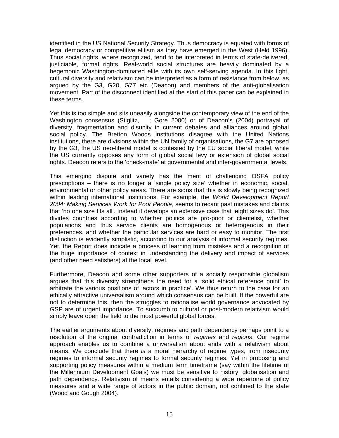identified in the US National Security Strategy. Thus democracy is equated with forms of legal democracy or competitive elitism as they have emerged in the West (Held 1996). Thus social rights, where recognized, tend to be interpreted in terms of state-delivered, justiciable, formal rights. Real-world social structures are heavily dominated by a hegemonic Washington-dominated elite with its own self-serving agenda. In this light, cultural diversity and relativism can be interpreted as a form of resistance from below, as argued by the G3, G20, G77 etc (Deacon) and members of the anti-globalisation movement. Part of the disconnect identified at the start of this paper can be explained in these terms.

Yet this is too simple and sits uneasily alongside the contemporary view of the end of the Washington consensus (Stiglitz, ; Gore 2000) or of Deacon's (2004) portrayal of diversity, fragmentation and disunity in current debates and alliances around global social policy. The Bretton Woods institutions disagree with the United Nations institutions, there are divisions within the UN family of organisations, the G7 are opposed by the G3, the US neo-liberal model is contested by the EU social liberal model, while the US currently opposes any form of global social levy or extension of global social rights. Deacon refers to the 'check-mate' at governmental and inter-governmental levels.

This emerging dispute and variety has the merit of challenging OSFA policy prescriptions – there is no longer a 'single policy size' whether in economic, social, environmental or other policy areas. There are signs that this is slowly being recognized within leading international institutions. For example, the *World Development Report 2004: Making Services Work for Poor People*, seems to recant past mistakes and claims that 'no one size fits all'. Instead it develops an extensive case that 'eight sizes do'. This divides countries according to whether politics are pro-poor or clientelist, whether populations and thus service clients are homogenous or heterogenous in their preferences, and whether the particular services are hard or easy to monitor. The first distinction is evidently simplistic, according to our analysis of informal security regimes. Yet, the Report does indicate a process of learning from mistakes and a recognition of the huge importance of context in understanding the delivery and impact of services (and other need satisfiers) at the local level.

Furthermore, Deacon and some other supporters of a socially responsible globalism argues that this diversity strengthens the need for a 'solid ethical reference point' to arbitrate the various positions of 'actors in practice'. We thus return to the case for an ethically attractive universalism around which consensus can be built. If the powerful are not to determine this, then the struggles to rationalise world governance advocated by GSP are of urgent importance. To succumb to cultural or post-modern relativism would simply leave open the field to the most powerful global forces.

The earlier arguments about diversity, regimes and path dependency perhaps point to a resolution of the original contradiction in terms of *regimes* and *regions*. Our regime approach enables us to combine a universalism about ends with a relativism about means. We conclude that there *is* a moral hierarchy of regime types, from insecurity regimes to informal security regimes to formal security regimes. Yet in proposing and supporting policy measures within a medium term timeframe (say within the lifetime of the Millennium Development Goals) we must be sensitive to history, globalisation and path dependency. Relativism of means entails considering a wide repertoire of policy measures and a wide range of actors in the public domain, not confined to the state (Wood and Gough 2004).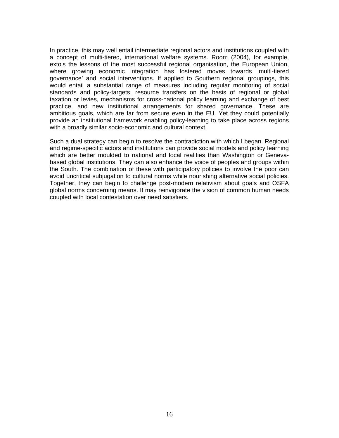In practice, this may well entail intermediate regional actors and institutions coupled with a concept of multi-tiered, international welfare systems. Room (2004), for example, extols the lessons of the most successful regional organisation, the European Union, where growing economic integration has fostered moves towards 'multi-tiered governance' and social interventions. If applied to Southern regional groupings, this would entail a substantial range of measures including regular monitoring of social standards and policy-targets, resource transfers on the basis of regional or global taxation or levies, mechanisms for cross-national policy learning and exchange of best practice, and new institutional arrangements for shared governance. These are ambitious goals, which are far from secure even in the EU. Yet they could potentially provide an institutional framework enabling policy-learning to take place across regions with a broadly similar socio-economic and cultural context.

Such a dual strategy can begin to resolve the contradiction with which I began. Regional and regime-specific actors and institutions can provide social models and policy learning which are better moulded to national and local realities than Washington or Genevabased global institutions. They can also enhance the voice of peoples and groups within the South. The combination of these with participatory policies to involve the poor can avoid uncritical subjugation to cultural norms while nourishing alternative social policies. Together, they can begin to challenge post-modern relativism about goals and OSFA global norms concerning means. It may reinvigorate the vision of common human needs coupled with local contestation over need satisfiers.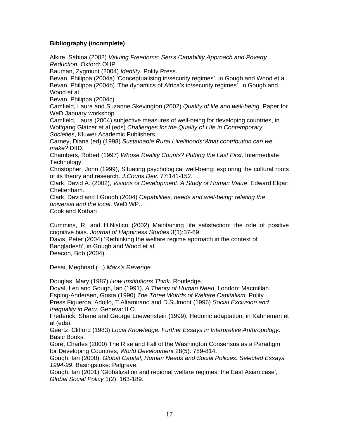## **Bibliography (incomplete)**

Alkire, Sabina (2002) *Valuing Freedoms: Sen's Capability Approach and Poverty Reduction*. Oxford: OUP

Bauman, Zygmunt (2004) *Identity.* Polity Press.

Bevan, Philippa (2004a) 'Conceptualising in/security regimes', in Gough and Wood et al. Bevan, Philippa (2004b) 'The dynamics of Africa's in/security regimes', in Gough and Wood et al.

Bevan, Philippa (2004c)

Camfield, Laura and Suzanne Skevington (2002) *Quality of life and well-being*. Paper for WeD January workshop

Camfield, Laura (2004) subjective measures of well-being for developing countries, in Wolfgang Glatzer et al (eds) *Challenges for the Quality of Life in Contemporary Societies*, Kluwer Academic Publishers.

Carney, Diana (ed) (1998) *Sustainable Rural Livelihoods:What contribution can we make?* DfID.

Chambers, Robert (1997) *Whose Reality Counts? Putting the Last First*. Intermediate Technology.

Christopher, John (1999), Situating psychological well-being: exploring the cultural roots of its theory and research. *J.Couns.Dev.* 77:141-152.

Clark, David A. (2002), *Visions of Development: A Study of Human Value*, Edward Elgar: Cheltenham.

Clark, David and I.Gough (2004) *Capabilities, needs and well-being: relating the universal and the local*. WeD WP..

Cook and Kothari

Cummins, R. and H.Nistico (2002) Maintaining life satisfaction: the role of positive cognitive bias. *Journal of Happiness Studies* 3(1):37-69.

Davis, Peter (2004) 'Rethinking the welfare regime approach in the context of Bangladesh', in Gough and Wood et al.

Deacon, Bob (2004) …

Desai, Meghnad ( ) *Marx's Revenge* 

Douglas, Mary (1987) *How Institutions Think*. Routledge.

Doyal, Len and Gough, Ian (1991), *A Theory of Human Need*, London: Macmillan. Esping-Andersen, Gosta (1990) *The Three Worlds of Welfare Capitalism.* Polity Press.Figueroa, Adolfo, T.Altamirano and D.Sulmont (1996) *Social Exclusion and Inequality in Peru*. Geneva: ILO.

Frederick, Shane and George Loewenstein (1999), Hedonic adaptation, in Kahneman et al (eds).

Geertz, Clifford (1983) *Local Knowledge: Further Essays in Interpretive Anthropology*. Basic Books.

Gore, Charles (2000) The Rise and Fall of the Washington Consensus as a Paradigm for Developing Countries, *World Development* 28(5): 789-814.

Gough, Ian (2000), *Global Capital, Human Needs and Social Policies: Selected Essays 1994-99*. Basingstoke: Palgrave.

Gough, Ian (2001) 'Globalization and regional welfare regimes: the East Asian case', *Global Social Policy* 1(2): 163-189.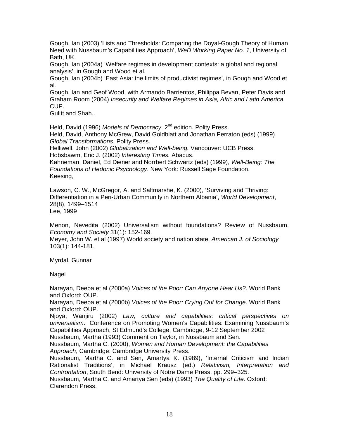Gough, Ian (2003) 'Lists and Thresholds: Comparing the Doyal-Gough Theory of Human Need with Nussbaum's Capabilities Approach', *WeD Working Paper No. 1*, University of Bath, UK.

Gough, Ian (2004a) 'Welfare regimes in development contexts: a global and regional analysis', in Gough and Wood et al.

Gough, Ian (2004b) 'East Asia: the limits of productivist regimes', in Gough and Wood et al.

Gough, Ian and Geof Wood, with Armando Barrientos, Philippa Bevan, Peter Davis and Graham Room (2004) *Insecurity and Welfare Regimes in Asia, Afric and Latin America.*  CUP.

Gulitt and Shah..

Held, David (1996) Models of Democracy. 2<sup>nd</sup> edition. Polity Press. Held, David, Anthony McGrew, David Goldblatt and Jonathan Perraton (eds) (1999) *Global Transformations*. Polity Press.

Helliwell, John (2002) *Globalization and Well-being.* Vancouver: UCB Press. Hobsbawm, Eric J. (2002) *Interesting Times.* Abacus.

Kahneman, Daniel, Ed Diener and Norrbert Schwartz (eds) (1999), *Well-Being: The Foundations of Hedonic Psychology*. New York: Russell Sage Foundation. Keesing,

Lawson, C. W., McGregor, A. and Saltmarshe, K. (2000), 'Surviving and Thriving: Differentiation in a Peri-Urban Community in Northern Albania', *World Development*, 28(8), 1499–1514 Lee, 1999

Menon, Nevedita (2002) Universalism without foundations? Review of Nussbaum. *Economy and Society* 31(1): 152-169.

Meyer, John W. et al (1997) World society and nation state, *American J. of Sociology* 103(1): 144-181.

Myrdal, Gunnar

Nagel

Narayan, Deepa et al (2000a) *Voices of the Poor: Can Anyone Hear Us?*. World Bank and Oxford: OUP.

Narayan, Deepa et al (2000b) *Voices of the Poor: Crying Out for Change*. World Bank and Oxford: OUP.

Njoya, Wanjiru (2002) *Law, culture and capabilities: critical perspectives on universalism*. Conference on Promoting Women's Capabilities: Examining Nussbaum's Capabilities Approach, St Edmund's College, Cambridge, 9-12 September 2002 Nussbaum, Martha (1993) Comment on Taylor, in Nussbaum and Sen.

Nussbaum, Martha C. (2000), *Women and Human Development: the Capabilities Approach*, Cambridge: Cambridge University Press.

Nussbaum, Martha C. and Sen, Amartya K. (1989), 'Internal Criticism and Indian Rationalist Traditions', in Michael Krausz (ed.) *Relativism, Interpretation and Confrontation*, South Bend: University of Notre Dame Press, pp. 299–325. Nussbaum, Martha C. and Amartya Sen (eds) (1993) *The Quality of Life*. Oxford: Clarendon Press.